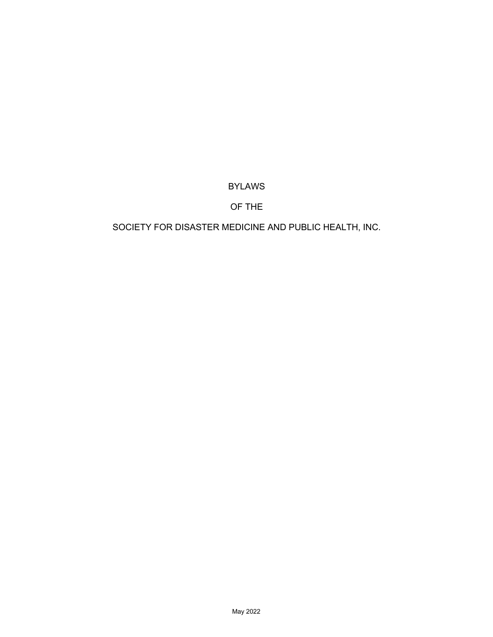# BYLAWS

# OF THE

# SOCIETY FOR DISASTER MEDICINE AND PUBLIC HEALTH, INC.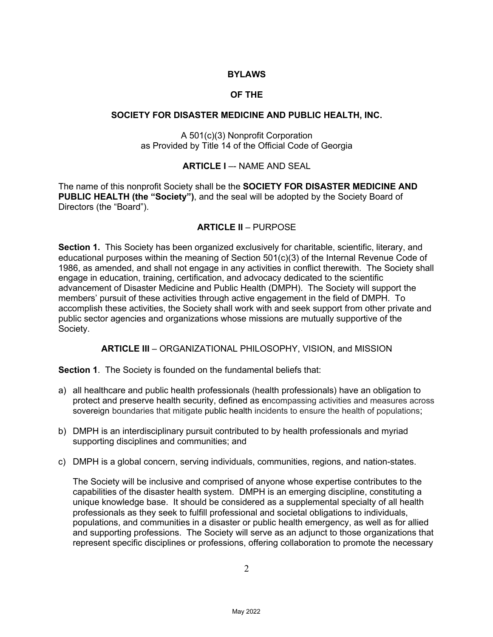# **BYLAWS**

# **OF THE**

### **SOCIETY FOR DISASTER MEDICINE AND PUBLIC HEALTH, INC.**

A 501(c)(3) Nonprofit Corporation as Provided by Title 14 of the Official Code of Georgia

# **ARTICLE I** –- NAME AND SEAL

The name of this nonprofit Society shall be the **SOCIETY FOR DISASTER MEDICINE AND PUBLIC HEALTH (the "Society")**, and the seal will be adopted by the Society Board of Directors (the "Board").

# **ARTICLE II** – PURPOSE

**Section 1.** This Society has been organized exclusively for charitable, scientific, literary, and educational purposes within the meaning of Section 501(c)(3) of the Internal Revenue Code of 1986, as amended, and shall not engage in any activities in conflict therewith. The Society shall engage in education, training, certification, and advocacy dedicated to the scientific advancement of Disaster Medicine and Public Health (DMPH). The Society will support the members' pursuit of these activities through active engagement in the field of DMPH. To accomplish these activities, the Society shall work with and seek support from other private and public sector agencies and organizations whose missions are mutually supportive of the Society.

**ARTICLE III** – ORGANIZATIONAL PHILOSOPHY, VISION, and MISSION

**Section 1**. The Society is founded on the fundamental beliefs that:

- a) all healthcare and public health professionals (health professionals) have an obligation to protect and preserve health security, defined as encompassing activities and measures across sovereign boundaries that mitigate public health incidents to ensure the health of populations;
- b) DMPH is an interdisciplinary pursuit contributed to by health professionals and myriad supporting disciplines and communities; and
- c) DMPH is a global concern, serving individuals, communities, regions, and nation-states.

The Society will be inclusive and comprised of anyone whose expertise contributes to the capabilities of the disaster health system. DMPH is an emerging discipline, constituting a unique knowledge base. It should be considered as a supplemental specialty of all health professionals as they seek to fulfill professional and societal obligations to individuals, populations, and communities in a disaster or public health emergency, as well as for allied and supporting professions. The Society will serve as an adjunct to those organizations that represent specific disciplines or professions, offering collaboration to promote the necessary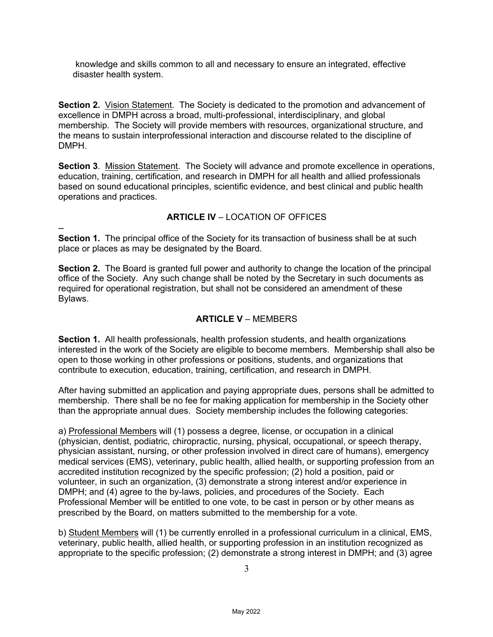knowledge and skills common to all and necessary to ensure an integrated, effective disaster health system.

**Section 2.** Vision Statement. The Society is dedicated to the promotion and advancement of excellence in DMPH across a broad, multi-professional, interdisciplinary, and global membership. The Society will provide members with resources, organizational structure, and the means to sustain interprofessional interaction and discourse related to the discipline of DMPH.

**Section 3**. Mission Statement. The Society will advance and promote excellence in operations, education, training, certification, and research in DMPH for all health and allied professionals based on sound educational principles, scientific evidence, and best clinical and public health operations and practices.

# **ARTICLE IV** – LOCATION OF OFFICES

**Section 1.** The principal office of the Society for its transaction of business shall be at such place or places as may be designated by the Board.

–

**Section 2.** The Board is granted full power and authority to change the location of the principal office of the Society. Any such change shall be noted by the Secretary in such documents as required for operational registration, but shall not be considered an amendment of these Bylaws.

#### **ARTICLE V** – MEMBERS

**Section 1.** All health professionals, health profession students, and health organizations interested in the work of the Society are eligible to become members. Membership shall also be open to those working in other professions or positions, students, and organizations that contribute to execution, education, training, certification, and research in DMPH.

After having submitted an application and paying appropriate dues, persons shall be admitted to membership. There shall be no fee for making application for membership in the Society other than the appropriate annual dues. Society membership includes the following categories:

a) Professional Members will (1) possess a degree, license, or occupation in a clinical (physician, dentist, podiatric, chiropractic, nursing, physical, occupational, or speech therapy, physician assistant, nursing, or other profession involved in direct care of humans), emergency medical services (EMS), veterinary, public health, allied health, or supporting profession from an accredited institution recognized by the specific profession; (2) hold a position, paid or volunteer, in such an organization, (3) demonstrate a strong interest and/or experience in DMPH; and (4) agree to the by-laws, policies, and procedures of the Society. Each Professional Member will be entitled to one vote, to be cast in person or by other means as prescribed by the Board, on matters submitted to the membership for a vote.

b) Student Members will (1) be currently enrolled in a professional curriculum in a clinical, EMS, veterinary, public health, allied health, or supporting profession in an institution recognized as appropriate to the specific profession; (2) demonstrate a strong interest in DMPH; and (3) agree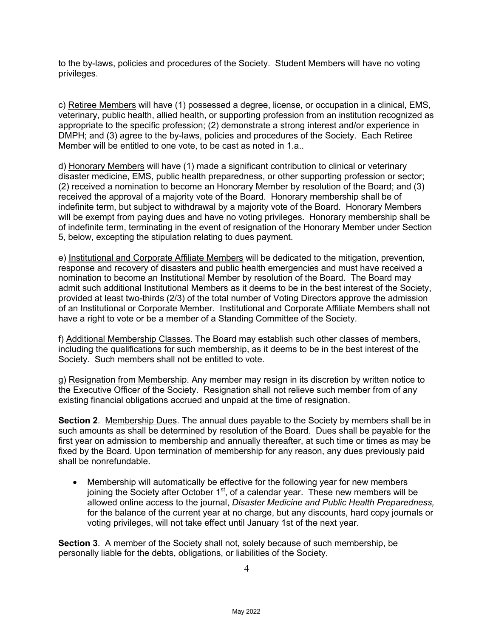to the by-laws, policies and procedures of the Society. Student Members will have no voting privileges.

c) Retiree Members will have (1) possessed a degree, license, or occupation in a clinical, EMS, veterinary, public health, allied health, or supporting profession from an institution recognized as appropriate to the specific profession; (2) demonstrate a strong interest and/or experience in DMPH; and (3) agree to the by-laws, policies and procedures of the Society. Each Retiree Member will be entitled to one vote, to be cast as noted in 1.a..

d) Honorary Members will have (1) made a significant contribution to clinical or veterinary disaster medicine, EMS, public health preparedness, or other supporting profession or sector; (2) received a nomination to become an Honorary Member by resolution of the Board; and (3) received the approval of a majority vote of the Board. Honorary membership shall be of indefinite term, but subject to withdrawal by a majority vote of the Board. Honorary Members will be exempt from paying dues and have no voting privileges. Honorary membership shall be of indefinite term, terminating in the event of resignation of the Honorary Member under Section 5, below, excepting the stipulation relating to dues payment.

e) Institutional and Corporate Affiliate Members will be dedicated to the mitigation, prevention, response and recovery of disasters and public health emergencies and must have received a nomination to become an Institutional Member by resolution of the Board. The Board may admit such additional Institutional Members as it deems to be in the best interest of the Society, provided at least two-thirds (2/3) of the total number of Voting Directors approve the admission of an Institutional or Corporate Member. Institutional and Corporate Affiliate Members shall not have a right to vote or be a member of a Standing Committee of the Society.

f) Additional Membership Classes. The Board may establish such other classes of members, including the qualifications for such membership, as it deems to be in the best interest of the Society. Such members shall not be entitled to vote.

g) Resignation from Membership. Any member may resign in its discretion by written notice to the Executive Officer of the Society. Resignation shall not relieve such member from of any existing financial obligations accrued and unpaid at the time of resignation.

**Section 2.** Membership Dues. The annual dues payable to the Society by members shall be in such amounts as shall be determined by resolution of the Board. Dues shall be payable for the first year on admission to membership and annually thereafter, at such time or times as may be fixed by the Board. Upon termination of membership for any reason, any dues previously paid shall be nonrefundable.

• Membership will automatically be effective for the following year for new members joining the Society after October  $1<sup>st</sup>$ , of a calendar year. These new members will be allowed online access to the journal, *Disaster Medicine and Public Health Preparedness,* for the balance of the current year at no charge, but any discounts, hard copy journals or voting privileges, will not take effect until January 1st of the next year.

**Section 3**. A member of the Society shall not, solely because of such membership, be personally liable for the debts, obligations, or liabilities of the Society.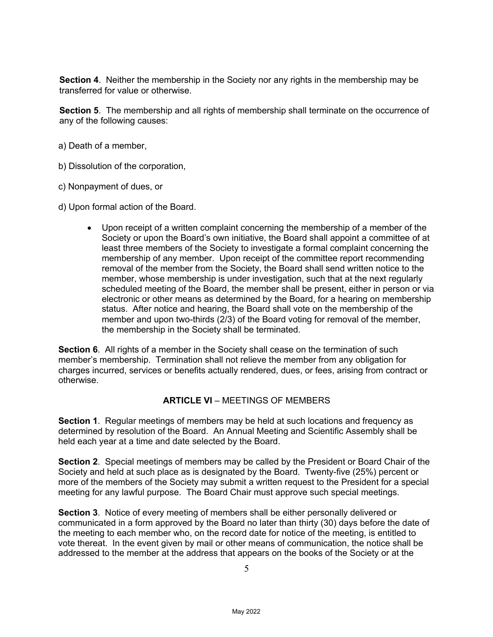**Section 4**. Neither the membership in the Society nor any rights in the membership may be transferred for value or otherwise.

**Section 5**. The membership and all rights of membership shall terminate on the occurrence of any of the following causes:

- a) Death of a member,
- b) Dissolution of the corporation,
- c) Nonpayment of dues, or
- d) Upon formal action of the Board.
	- Upon receipt of a written complaint concerning the membership of a member of the Society or upon the Board's own initiative, the Board shall appoint a committee of at least three members of the Society to investigate a formal complaint concerning the membership of any member. Upon receipt of the committee report recommending removal of the member from the Society, the Board shall send written notice to the member, whose membership is under investigation, such that at the next regularly scheduled meeting of the Board, the member shall be present, either in person or via electronic or other means as determined by the Board, for a hearing on membership status. After notice and hearing, the Board shall vote on the membership of the member and upon two-thirds (2/3) of the Board voting for removal of the member, the membership in the Society shall be terminated.

**Section 6**. All rights of a member in the Society shall cease on the termination of such member's membership. Termination shall not relieve the member from any obligation for charges incurred, services or benefits actually rendered, dues, or fees, arising from contract or otherwise.

# **ARTICLE VI** – MEETINGS OF MEMBERS

**Section 1**. Regular meetings of members may be held at such locations and frequency as determined by resolution of the Board. An Annual Meeting and Scientific Assembly shall be held each year at a time and date selected by the Board.

**Section 2**. Special meetings of members may be called by the President or Board Chair of the Society and held at such place as is designated by the Board. Twenty-five (25%) percent or more of the members of the Society may submit a written request to the President for a special meeting for any lawful purpose. The Board Chair must approve such special meetings.

**Section 3**. Notice of every meeting of members shall be either personally delivered or communicated in a form approved by the Board no later than thirty (30) days before the date of the meeting to each member who, on the record date for notice of the meeting, is entitled to vote thereat. In the event given by mail or other means of communication, the notice shall be addressed to the member at the address that appears on the books of the Society or at the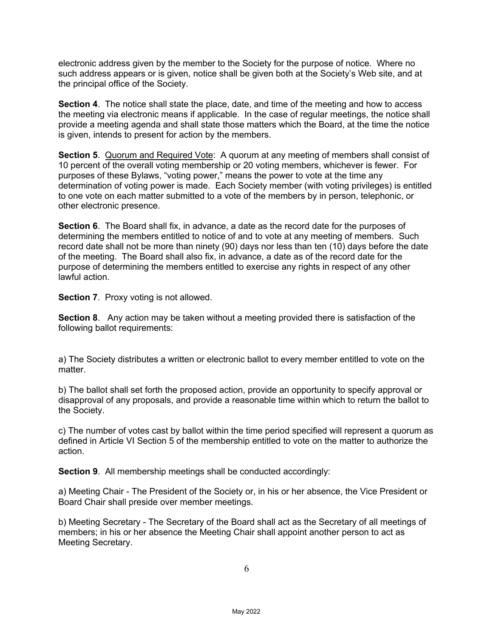electronic address given by the member to the Society for the purpose of notice. Where no such address appears or is given, notice shall be given both at the Society's Web site, and at the principal office of the Society.

**Section 4**. The notice shall state the place, date, and time of the meeting and how to access the meeting via electronic means if applicable. In the case of regular meetings, the notice shall provide a meeting agenda and shall state those matters which the Board, at the time the notice is given, intends to present for action by the members.

**Section 5**. Quorum and Required Vote: A quorum at any meeting of members shall consist of 10 percent of the overall voting membership or 20 voting members, whichever is fewer. For purposes of these Bylaws, "voting power," means the power to vote at the time any determination of voting power is made. Each Society member (with voting privileges) is entitled to one vote on each matter submitted to a vote of the members by in person, telephonic, or other electronic presence.

**Section 6**. The Board shall fix, in advance, a date as the record date for the purposes of determining the members entitled to notice of and to vote at any meeting of members. Such record date shall not be more than ninety (90) days nor less than ten (10) days before the date of the meeting. The Board shall also fix, in advance, a date as of the record date for the purpose of determining the members entitled to exercise any rights in respect of any other lawful action.

**Section 7**. Proxy voting is not allowed.

**Section 8**. Any action may be taken without a meeting provided there is satisfaction of the following ballot requirements:

a) The Society distributes a written or electronic ballot to every member entitled to vote on the matter.

b) The ballot shall set forth the proposed action, provide an opportunity to specify approval or disapproval of any proposals, and provide a reasonable time within which to return the ballot to the Society.

c) The number of votes cast by ballot within the time period specified will represent a quorum as defined in Article VI Section 5 of the membership entitled to vote on the matter to authorize the action.

**Section 9.** All membership meetings shall be conducted accordingly:

a) Meeting Chair - The President of the Society or, in his or her absence, the Vice President or Board Chair shall preside over member meetings.

b) Meeting Secretary - The Secretary of the Board shall act as the Secretary of all meetings of members; in his or her absence the Meeting Chair shall appoint another person to act as Meeting Secretary.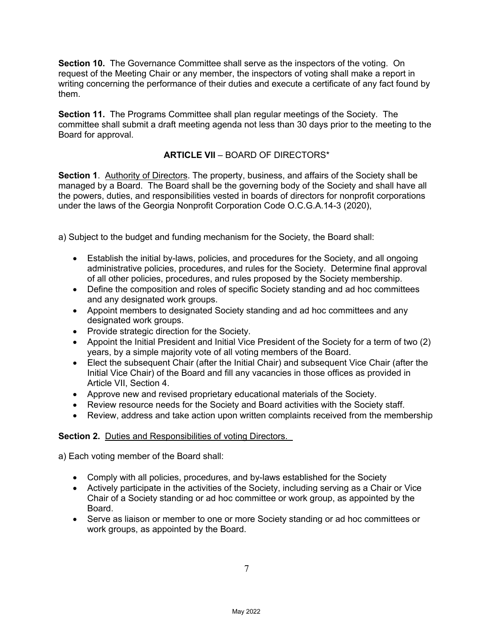**Section 10.** The Governance Committee shall serve as the inspectors of the voting. On request of the Meeting Chair or any member, the inspectors of voting shall make a report in writing concerning the performance of their duties and execute a certificate of any fact found by them.

**Section 11.** The Programs Committee shall plan regular meetings of the Society. The committee shall submit a draft meeting agenda not less than 30 days prior to the meeting to the Board for approval.

# **ARTICLE VII** – BOARD OF DIRECTORS\*

**Section 1**. Authority of Directors. The property, business, and affairs of the Society shall be managed by a Board. The Board shall be the governing body of the Society and shall have all the powers, duties, and responsibilities vested in boards of directors for nonprofit corporations under the laws of the Georgia Nonprofit Corporation Code O.C.G.A.14-3 (2020),

a) Subject to the budget and funding mechanism for the Society, the Board shall:

- Establish the initial by-laws, policies, and procedures for the Society, and all ongoing administrative policies, procedures, and rules for the Society. Determine final approval of all other policies, procedures, and rules proposed by the Society membership.
- Define the composition and roles of specific Society standing and ad hoc committees and any designated work groups.
- Appoint members to designated Society standing and ad hoc committees and any designated work groups.
- Provide strategic direction for the Society.
- Appoint the Initial President and Initial Vice President of the Society for a term of two (2) years, by a simple majority vote of all voting members of the Board.
- Elect the subsequent Chair (after the Initial Chair) and subsequent Vice Chair (after the Initial Vice Chair) of the Board and fill any vacancies in those offices as provided in Article VII, Section 4.
- Approve new and revised proprietary educational materials of the Society.
- Review resource needs for the Society and Board activities with the Society staff.
- Review, address and take action upon written complaints received from the membership

# **Section 2.** Duties and Responsibilities of voting Directors.

a) Each voting member of the Board shall:

- Comply with all policies, procedures, and by-laws established for the Society
- Actively participate in the activities of the Society, including serving as a Chair or Vice Chair of a Society standing or ad hoc committee or work group, as appointed by the Board.
- Serve as liaison or member to one or more Society standing or ad hoc committees or work groups, as appointed by the Board.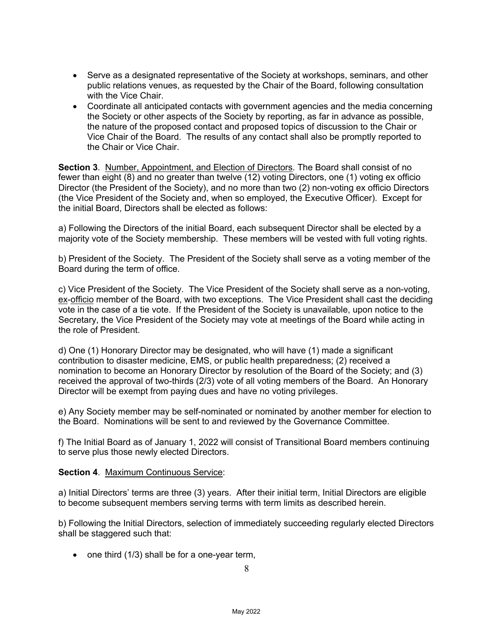- Serve as a designated representative of the Society at workshops, seminars, and other public relations venues, as requested by the Chair of the Board, following consultation with the Vice Chair.
- Coordinate all anticipated contacts with government agencies and the media concerning the Society or other aspects of the Society by reporting, as far in advance as possible, the nature of the proposed contact and proposed topics of discussion to the Chair or Vice Chair of the Board. The results of any contact shall also be promptly reported to the Chair or Vice Chair.

**Section 3**. Number, Appointment, and Election of Directors. The Board shall consist of no fewer than eight (8) and no greater than twelve (12) voting Directors, one (1) voting ex officio Director (the President of the Society), and no more than two (2) non-voting ex officio Directors (the Vice President of the Society and, when so employed, the Executive Officer). Except for the initial Board, Directors shall be elected as follows:

a) Following the Directors of the initial Board, each subsequent Director shall be elected by a majority vote of the Society membership. These members will be vested with full voting rights.

b) President of the Society. The President of the Society shall serve as a voting member of the Board during the term of office.

c) Vice President of the Society. The Vice President of the Society shall serve as a non-voting, ex-officio member of the Board, with two exceptions. The Vice President shall cast the deciding vote in the case of a tie vote. If the President of the Society is unavailable, upon notice to the Secretary, the Vice President of the Society may vote at meetings of the Board while acting in the role of President.

d) One (1) Honorary Director may be designated, who will have (1) made a significant contribution to disaster medicine, EMS, or public health preparedness; (2) received a nomination to become an Honorary Director by resolution of the Board of the Society; and (3) received the approval of two-thirds (2/3) vote of all voting members of the Board. An Honorary Director will be exempt from paying dues and have no voting privileges.

e) Any Society member may be self-nominated or nominated by another member for election to the Board. Nominations will be sent to and reviewed by the Governance Committee.

f) The Initial Board as of January 1, 2022 will consist of Transitional Board members continuing to serve plus those newly elected Directors.

#### **Section 4**. Maximum Continuous Service:

a) Initial Directors' terms are three (3) years. After their initial term, Initial Directors are eligible to become subsequent members serving terms with term limits as described herein.

b) Following the Initial Directors, selection of immediately succeeding regularly elected Directors shall be staggered such that:

• one third (1/3) shall be for a one-year term,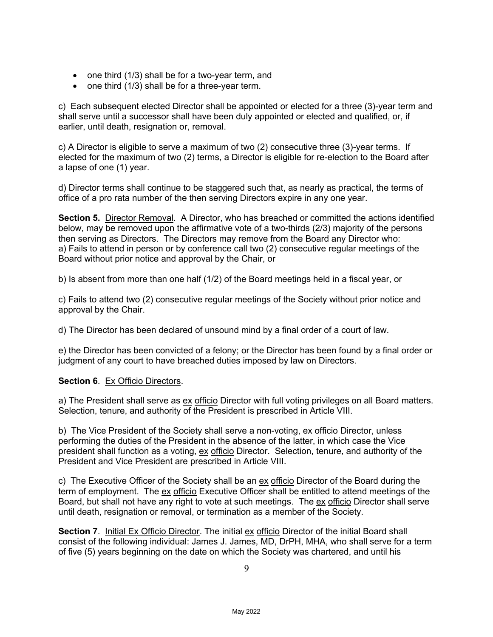- one third (1/3) shall be for a two-year term, and
- one third (1/3) shall be for a three-year term.

c) Each subsequent elected Director shall be appointed or elected for a three (3)-year term and shall serve until a successor shall have been duly appointed or elected and qualified, or, if earlier, until death, resignation or, removal.

c) A Director is eligible to serve a maximum of two (2) consecutive three (3)-year terms. If elected for the maximum of two (2) terms, a Director is eligible for re-election to the Board after a lapse of one (1) year.

d) Director terms shall continue to be staggered such that, as nearly as practical, the terms of office of a pro rata number of the then serving Directors expire in any one year.

**Section 5.** Director Removal. A Director, who has breached or committed the actions identified below, may be removed upon the affirmative vote of a two-thirds (2/3) majority of the persons then serving as Directors. The Directors may remove from the Board any Director who: a) Fails to attend in person or by conference call two (2) consecutive regular meetings of the Board without prior notice and approval by the Chair, or

b) Is absent from more than one half (1/2) of the Board meetings held in a fiscal year, or

c) Fails to attend two (2) consecutive regular meetings of the Society without prior notice and approval by the Chair.

d) The Director has been declared of unsound mind by a final order of a court of law.

e) the Director has been convicted of a felony; or the Director has been found by a final order or judgment of any court to have breached duties imposed by law on Directors.

**Section 6. Ex Officio Directors.** 

a) The President shall serve as ex officio Director with full voting privileges on all Board matters. Selection, tenure, and authority of the President is prescribed in Article VIII.

b) The Vice President of the Society shall serve a non-voting, ex officio Director, unless performing the duties of the President in the absence of the latter, in which case the Vice president shall function as a voting, ex officio Director. Selection, tenure, and authority of the President and Vice President are prescribed in Article VIII.

c) The Executive Officer of the Society shall be an ex officio Director of the Board during the term of employment. The ex officio Executive Officer shall be entitled to attend meetings of the Board, but shall not have any right to vote at such meetings. The ex officio Director shall serve until death, resignation or removal, or termination as a member of the Society.

**Section 7**. Initial Ex Officio Director. The initial ex officio Director of the initial Board shall consist of the following individual: James J. James, MD, DrPH, MHA, who shall serve for a term of five (5) years beginning on the date on which the Society was chartered, and until his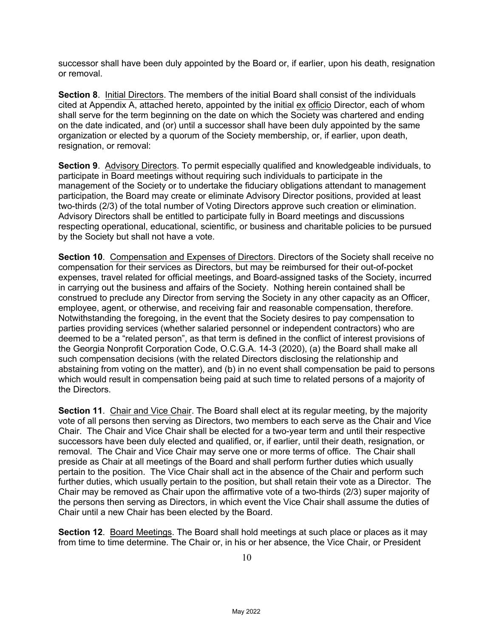successor shall have been duly appointed by the Board or, if earlier, upon his death, resignation or removal.

**Section 8**. Initial Directors. The members of the initial Board shall consist of the individuals cited at Appendix A, attached hereto, appointed by the initial ex officio Director, each of whom shall serve for the term beginning on the date on which the Society was chartered and ending on the date indicated, and (or) until a successor shall have been duly appointed by the same organization or elected by a quorum of the Society membership, or, if earlier, upon death, resignation, or removal:

**Section 9**. Advisory Directors. To permit especially qualified and knowledgeable individuals, to participate in Board meetings without requiring such individuals to participate in the management of the Society or to undertake the fiduciary obligations attendant to management participation, the Board may create or eliminate Advisory Director positions, provided at least two-thirds (2/3) of the total number of Voting Directors approve such creation or elimination. Advisory Directors shall be entitled to participate fully in Board meetings and discussions respecting operational, educational, scientific, or business and charitable policies to be pursued by the Society but shall not have a vote.

**Section 10**. Compensation and Expenses of Directors. Directors of the Society shall receive no compensation for their services as Directors, but may be reimbursed for their out-of-pocket expenses, travel related for official meetings, and Board-assigned tasks of the Society, incurred in carrying out the business and affairs of the Society. Nothing herein contained shall be construed to preclude any Director from serving the Society in any other capacity as an Officer, employee, agent, or otherwise, and receiving fair and reasonable compensation, therefore. Notwithstanding the foregoing, in the event that the Society desires to pay compensation to parties providing services (whether salaried personnel or independent contractors) who are deemed to be a "related person", as that term is defined in the conflict of interest provisions of the Georgia Nonprofit Corporation Code, O.C.G.A. 14-3 (2020), (a) the Board shall make all such compensation decisions (with the related Directors disclosing the relationship and abstaining from voting on the matter), and (b) in no event shall compensation be paid to persons which would result in compensation being paid at such time to related persons of a majority of the Directors.

**Section 11**. Chair and Vice Chair. The Board shall elect at its regular meeting, by the majority vote of all persons then serving as Directors, two members to each serve as the Chair and Vice Chair. The Chair and Vice Chair shall be elected for a two-year term and until their respective successors have been duly elected and qualified, or, if earlier, until their death, resignation, or removal. The Chair and Vice Chair may serve one or more terms of office. The Chair shall preside as Chair at all meetings of the Board and shall perform further duties which usually pertain to the position. The Vice Chair shall act in the absence of the Chair and perform such further duties, which usually pertain to the position, but shall retain their vote as a Director. The Chair may be removed as Chair upon the affirmative vote of a two-thirds (2/3) super majority of the persons then serving as Directors, in which event the Vice Chair shall assume the duties of Chair until a new Chair has been elected by the Board.

**Section 12**. Board Meetings. The Board shall hold meetings at such place or places as it may from time to time determine. The Chair or, in his or her absence, the Vice Chair, or President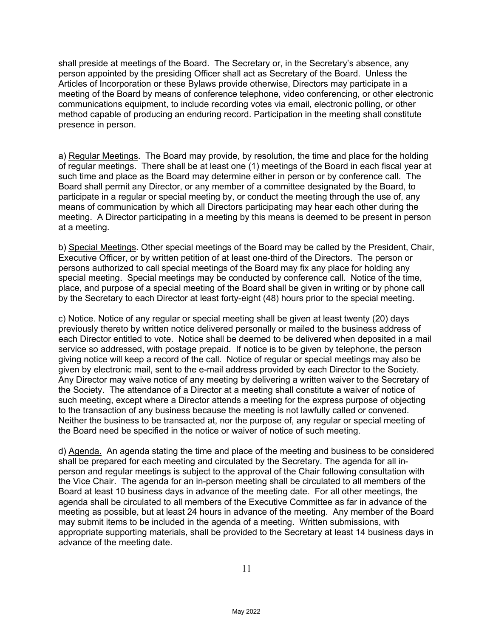shall preside at meetings of the Board. The Secretary or, in the Secretary's absence, any person appointed by the presiding Officer shall act as Secretary of the Board. Unless the Articles of Incorporation or these Bylaws provide otherwise, Directors may participate in a meeting of the Board by means of conference telephone, video conferencing, or other electronic communications equipment, to include recording votes via email, electronic polling, or other method capable of producing an enduring record. Participation in the meeting shall constitute presence in person.

a) Regular Meetings. The Board may provide, by resolution, the time and place for the holding of regular meetings. There shall be at least one (1) meetings of the Board in each fiscal year at such time and place as the Board may determine either in person or by conference call. The Board shall permit any Director, or any member of a committee designated by the Board, to participate in a regular or special meeting by, or conduct the meeting through the use of, any means of communication by which all Directors participating may hear each other during the meeting. A Director participating in a meeting by this means is deemed to be present in person at a meeting.

b) Special Meetings. Other special meetings of the Board may be called by the President, Chair, Executive Officer, or by written petition of at least one-third of the Directors. The person or persons authorized to call special meetings of the Board may fix any place for holding any special meeting. Special meetings may be conducted by conference call. Notice of the time, place, and purpose of a special meeting of the Board shall be given in writing or by phone call by the Secretary to each Director at least forty-eight (48) hours prior to the special meeting.

c) Notice. Notice of any regular or special meeting shall be given at least twenty (20) days previously thereto by written notice delivered personally or mailed to the business address of each Director entitled to vote. Notice shall be deemed to be delivered when deposited in a mail service so addressed, with postage prepaid. If notice is to be given by telephone, the person giving notice will keep a record of the call. Notice of regular or special meetings may also be given by electronic mail, sent to the e-mail address provided by each Director to the Society. Any Director may waive notice of any meeting by delivering a written waiver to the Secretary of the Society. The attendance of a Director at a meeting shall constitute a waiver of notice of such meeting, except where a Director attends a meeting for the express purpose of objecting to the transaction of any business because the meeting is not lawfully called or convened. Neither the business to be transacted at, nor the purpose of, any regular or special meeting of the Board need be specified in the notice or waiver of notice of such meeting.

d) Agenda. An agenda stating the time and place of the meeting and business to be considered shall be prepared for each meeting and circulated by the Secretary. The agenda for all inperson and regular meetings is subject to the approval of the Chair following consultation with the Vice Chair. The agenda for an in-person meeting shall be circulated to all members of the Board at least 10 business days in advance of the meeting date. For all other meetings, the agenda shall be circulated to all members of the Executive Committee as far in advance of the meeting as possible, but at least 24 hours in advance of the meeting. Any member of the Board may submit items to be included in the agenda of a meeting. Written submissions, with appropriate supporting materials, shall be provided to the Secretary at least 14 business days in advance of the meeting date.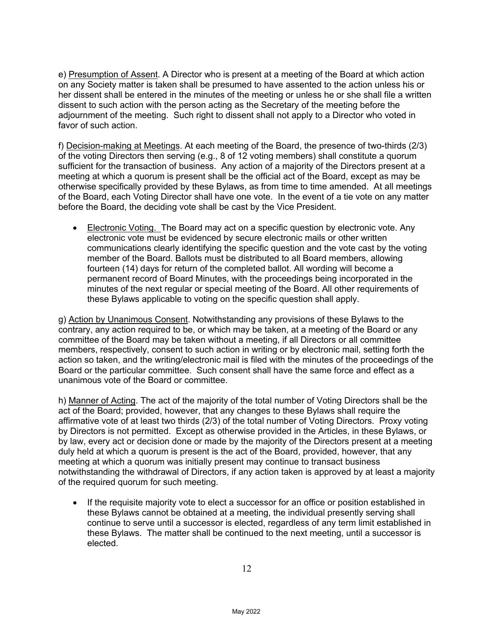e) Presumption of Assent. A Director who is present at a meeting of the Board at which action on any Society matter is taken shall be presumed to have assented to the action unless his or her dissent shall be entered in the minutes of the meeting or unless he or she shall file a written dissent to such action with the person acting as the Secretary of the meeting before the adjournment of the meeting. Such right to dissent shall not apply to a Director who voted in favor of such action.

f) Decision-making at Meetings. At each meeting of the Board, the presence of two-thirds (2/3) of the voting Directors then serving (e.g., 8 of 12 voting members) shall constitute a quorum sufficient for the transaction of business. Any action of a majority of the Directors present at a meeting at which a quorum is present shall be the official act of the Board, except as may be otherwise specifically provided by these Bylaws, as from time to time amended. At all meetings of the Board, each Voting Director shall have one vote. In the event of a tie vote on any matter before the Board, the deciding vote shall be cast by the Vice President.

• Electronic Voting. The Board may act on a specific question by electronic vote. Any electronic vote must be evidenced by secure electronic mails or other written communications clearly identifying the specific question and the vote cast by the voting member of the Board. Ballots must be distributed to all Board members, allowing fourteen (14) days for return of the completed ballot. All wording will become a permanent record of Board Minutes, with the proceedings being incorporated in the minutes of the next regular or special meeting of the Board. All other requirements of these Bylaws applicable to voting on the specific question shall apply.

g) Action by Unanimous Consent. Notwithstanding any provisions of these Bylaws to the contrary, any action required to be, or which may be taken, at a meeting of the Board or any committee of the Board may be taken without a meeting, if all Directors or all committee members, respectively, consent to such action in writing or by electronic mail, setting forth the action so taken, and the writing/electronic mail is filed with the minutes of the proceedings of the Board or the particular committee. Such consent shall have the same force and effect as a unanimous vote of the Board or committee.

h) Manner of Acting. The act of the majority of the total number of Voting Directors shall be the act of the Board; provided, however, that any changes to these Bylaws shall require the affirmative vote of at least two thirds (2/3) of the total number of Voting Directors. Proxy voting by Directors is not permitted. Except as otherwise provided in the Articles, in these Bylaws, or by law, every act or decision done or made by the majority of the Directors present at a meeting duly held at which a quorum is present is the act of the Board, provided, however, that any meeting at which a quorum was initially present may continue to transact business notwithstanding the withdrawal of Directors, if any action taken is approved by at least a majority of the required quorum for such meeting.

• If the requisite majority vote to elect a successor for an office or position established in these Bylaws cannot be obtained at a meeting, the individual presently serving shall continue to serve until a successor is elected, regardless of any term limit established in these Bylaws. The matter shall be continued to the next meeting, until a successor is elected.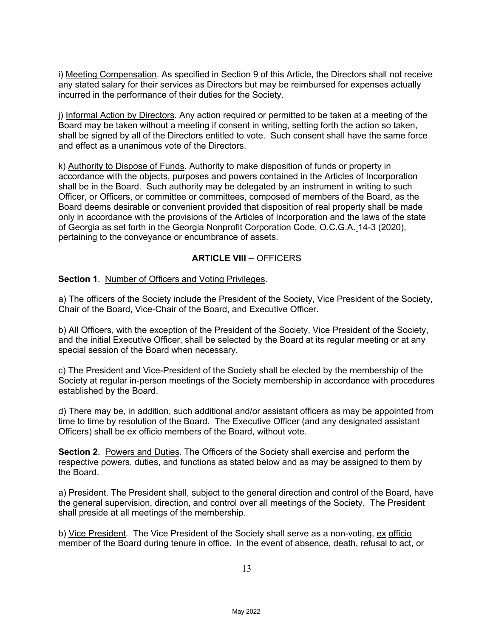i) Meeting Compensation. As specified in Section 9 of this Article, the Directors shall not receive any stated salary for their services as Directors but may be reimbursed for expenses actually incurred in the performance of their duties for the Society.

j) Informal Action by Directors. Any action required or permitted to be taken at a meeting of the Board may be taken without a meeting if consent in writing, setting forth the action so taken, shall be signed by all of the Directors entitled to vote. Such consent shall have the same force and effect as a unanimous vote of the Directors.

k) Authority to Dispose of Funds. Authority to make disposition of funds or property in accordance with the objects, purposes and powers contained in the Articles of Incorporation shall be in the Board. Such authority may be delegated by an instrument in writing to such Officer, or Officers, or committee or committees, composed of members of the Board, as the Board deems desirable or convenient provided that disposition of real property shall be made only in accordance with the provisions of the Articles of Incorporation and the laws of the state of Georgia as set forth in the Georgia Nonprofit Corporation Code, O.C.G.A. 14-3 (2020), pertaining to the conveyance or encumbrance of assets.

# **ARTICLE VIII** – OFFICERS

**Section 1**. Number of Officers and Voting Privileges.

a) The officers of the Society include the President of the Society, Vice President of the Society, Chair of the Board, Vice-Chair of the Board, and Executive Officer.

b) All Officers, with the exception of the President of the Society, Vice President of the Society, and the initial Executive Officer, shall be selected by the Board at its regular meeting or at any special session of the Board when necessary.

c) The President and Vice-President of the Society shall be elected by the membership of the Society at regular in-person meetings of the Society membership in accordance with procedures established by the Board.

d) There may be, in addition, such additional and/or assistant officers as may be appointed from time to time by resolution of the Board. The Executive Officer (and any designated assistant Officers) shall be ex officio members of the Board, without vote.

**Section 2**. Powers and Duties. The Officers of the Society shall exercise and perform the respective powers, duties, and functions as stated below and as may be assigned to them by the Board.

a) President. The President shall, subject to the general direction and control of the Board, have the general supervision, direction, and control over all meetings of the Society. The President shall preside at all meetings of the membership.

b) Vice President. The Vice President of the Society shall serve as a non-voting, ex officio member of the Board during tenure in office. In the event of absence, death, refusal to act, or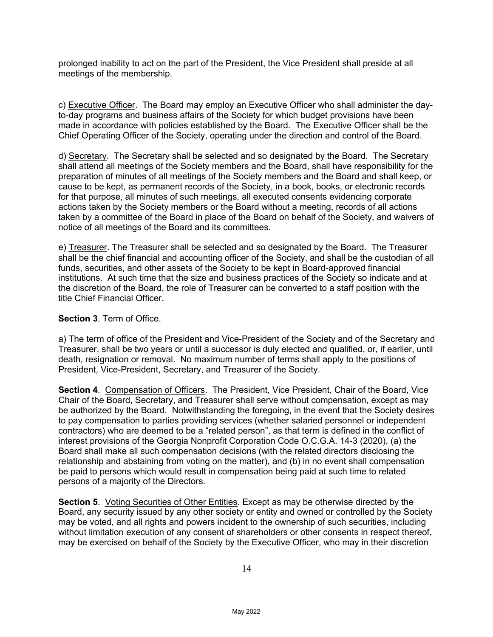prolonged inability to act on the part of the President, the Vice President shall preside at all meetings of the membership.

c) Executive Officer. The Board may employ an Executive Officer who shall administer the dayto-day programs and business affairs of the Society for which budget provisions have been made in accordance with policies established by the Board. The Executive Officer shall be the Chief Operating Officer of the Society, operating under the direction and control of the Board.

d) Secretary. The Secretary shall be selected and so designated by the Board. The Secretary shall attend all meetings of the Society members and the Board, shall have responsibility for the preparation of minutes of all meetings of the Society members and the Board and shall keep, or cause to be kept, as permanent records of the Society, in a book, books, or electronic records for that purpose, all minutes of such meetings, all executed consents evidencing corporate actions taken by the Society members or the Board without a meeting, records of all actions taken by a committee of the Board in place of the Board on behalf of the Society, and waivers of notice of all meetings of the Board and its committees.

e) Treasurer. The Treasurer shall be selected and so designated by the Board. The Treasurer shall be the chief financial and accounting officer of the Society, and shall be the custodian of all funds, securities, and other assets of the Society to be kept in Board-approved financial institutions. At such time that the size and business practices of the Society so indicate and at the discretion of the Board, the role of Treasurer can be converted to a staff position with the title Chief Financial Officer.

#### **Section 3**. Term of Office.

a) The term of office of the President and Vice-President of the Society and of the Secretary and Treasurer, shall be two years or until a successor is duly elected and qualified, or, if earlier, until death, resignation or removal. No maximum number of terms shall apply to the positions of President, Vice-President, Secretary, and Treasurer of the Society.

**Section 4**. Compensation of Officers. The President, Vice President, Chair of the Board, Vice Chair of the Board, Secretary, and Treasurer shall serve without compensation, except as may be authorized by the Board. Notwithstanding the foregoing, in the event that the Society desires to pay compensation to parties providing services (whether salaried personnel or independent contractors) who are deemed to be a "related person", as that term is defined in the conflict of interest provisions of the Georgia Nonprofit Corporation Code O.C.G.A. 14-3 (2020), (a) the Board shall make all such compensation decisions (with the related directors disclosing the relationship and abstaining from voting on the matter), and (b) in no event shall compensation be paid to persons which would result in compensation being paid at such time to related persons of a majority of the Directors.

**Section 5**. Voting Securities of Other Entities. Except as may be otherwise directed by the Board, any security issued by any other society or entity and owned or controlled by the Society may be voted, and all rights and powers incident to the ownership of such securities, including without limitation execution of any consent of shareholders or other consents in respect thereof, may be exercised on behalf of the Society by the Executive Officer, who may in their discretion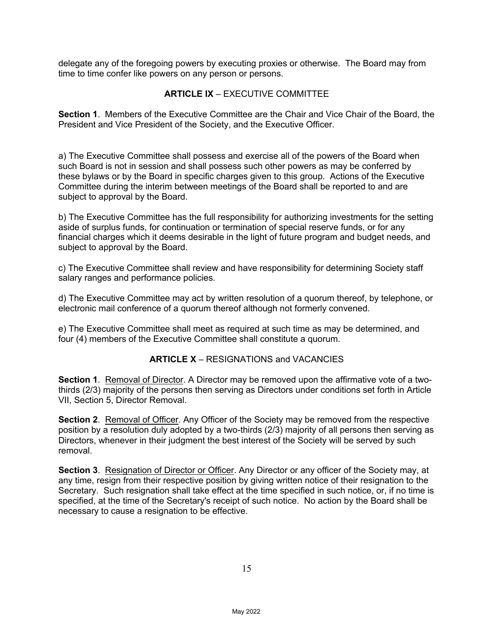delegate any of the foregoing powers by executing proxies or otherwise. The Board may from time to time confer like powers on any person or persons.

### **ARTICLE IX** – EXECUTIVE COMMITTEE

**Section 1**. Members of the Executive Committee are the Chair and Vice Chair of the Board, the President and Vice President of the Society, and the Executive Officer.

a) The Executive Committee shall possess and exercise all of the powers of the Board when such Board is not in session and shall possess such other powers as may be conferred by these bylaws or by the Board in specific charges given to this group. Actions of the Executive Committee during the interim between meetings of the Board shall be reported to and are subject to approval by the Board.

b) The Executive Committee has the full responsibility for authorizing investments for the setting aside of surplus funds, for continuation or termination of special reserve funds, or for any financial charges which it deems desirable in the light of future program and budget needs, and subject to approval by the Board.

c) The Executive Committee shall review and have responsibility for determining Society staff salary ranges and performance policies.

d) The Executive Committee may act by written resolution of a quorum thereof, by telephone, or electronic mail conference of a quorum thereof although not formerly convened.

e) The Executive Committee shall meet as required at such time as may be determined, and four (4) members of the Executive Committee shall constitute a quorum.

#### **ARTICLE X** – RESIGNATIONS and VACANCIES

**Section 1**. Removal of Director. A Director may be removed upon the affirmative vote of a twothirds (2/3) majority of the persons then serving as Directors under conditions set forth in Article VII, Section 5, Director Removal.

**Section 2**. Removal of Officer. Any Officer of the Society may be removed from the respective position by a resolution duly adopted by a two-thirds (2/3) majority of all persons then serving as Directors, whenever in their judgment the best interest of the Society will be served by such removal.

**Section 3**. Resignation of Director or Officer. Any Director or any officer of the Society may, at any time, resign from their respective position by giving written notice of their resignation to the Secretary. Such resignation shall take effect at the time specified in such notice, or, if no time is specified, at the time of the Secretary's receipt of such notice. No action by the Board shall be necessary to cause a resignation to be effective.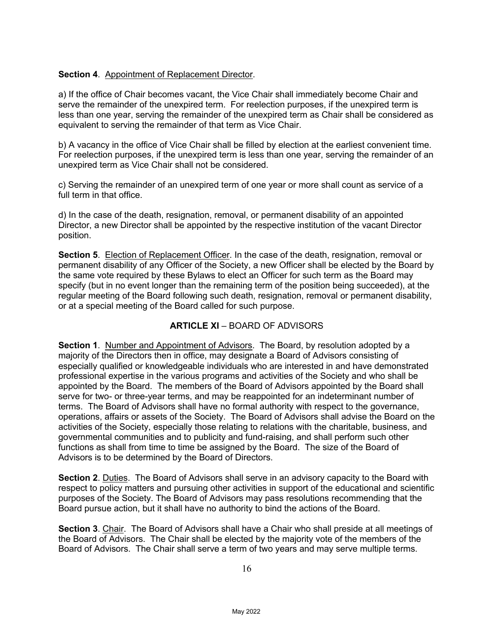# **Section 4**. Appointment of Replacement Director.

a) If the office of Chair becomes vacant, the Vice Chair shall immediately become Chair and serve the remainder of the unexpired term. For reelection purposes, if the unexpired term is less than one year, serving the remainder of the unexpired term as Chair shall be considered as equivalent to serving the remainder of that term as Vice Chair.

b) A vacancy in the office of Vice Chair shall be filled by election at the earliest convenient time. For reelection purposes, if the unexpired term is less than one year, serving the remainder of an unexpired term as Vice Chair shall not be considered.

c) Serving the remainder of an unexpired term of one year or more shall count as service of a full term in that office.

d) In the case of the death, resignation, removal, or permanent disability of an appointed Director, a new Director shall be appointed by the respective institution of the vacant Director position.

**Section 5.** Election of Replacement Officer. In the case of the death, resignation, removal or permanent disability of any Officer of the Society, a new Officer shall be elected by the Board by the same vote required by these Bylaws to elect an Officer for such term as the Board may specify (but in no event longer than the remaining term of the position being succeeded), at the regular meeting of the Board following such death, resignation, removal or permanent disability, or at a special meeting of the Board called for such purpose.

# **ARTICLE XI** – BOARD OF ADVISORS

**Section 1**. Number and Appointment of Advisors. The Board, by resolution adopted by a majority of the Directors then in office, may designate a Board of Advisors consisting of especially qualified or knowledgeable individuals who are interested in and have demonstrated professional expertise in the various programs and activities of the Society and who shall be appointed by the Board. The members of the Board of Advisors appointed by the Board shall serve for two- or three-year terms, and may be reappointed for an indeterminant number of terms. The Board of Advisors shall have no formal authority with respect to the governance, operations, affairs or assets of the Society. The Board of Advisors shall advise the Board on the activities of the Society, especially those relating to relations with the charitable, business, and governmental communities and to publicity and fund-raising, and shall perform such other functions as shall from time to time be assigned by the Board. The size of the Board of Advisors is to be determined by the Board of Directors.

**Section 2**. Duties. The Board of Advisors shall serve in an advisory capacity to the Board with respect to policy matters and pursuing other activities in support of the educational and scientific purposes of the Society. The Board of Advisors may pass resolutions recommending that the Board pursue action, but it shall have no authority to bind the actions of the Board.

**Section 3**. Chair. The Board of Advisors shall have a Chair who shall preside at all meetings of the Board of Advisors. The Chair shall be elected by the majority vote of the members of the Board of Advisors. The Chair shall serve a term of two years and may serve multiple terms.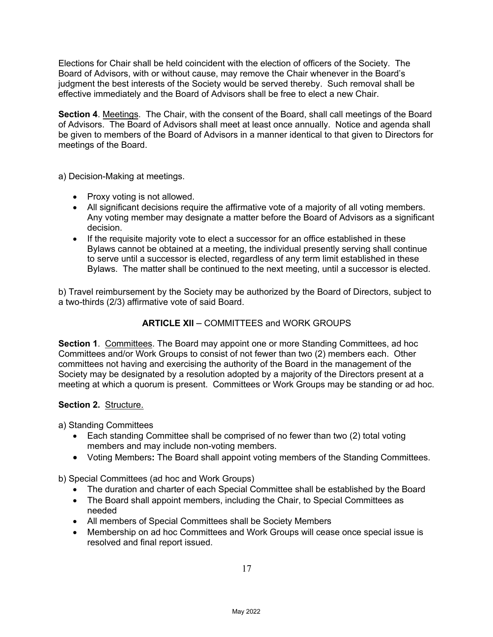Elections for Chair shall be held coincident with the election of officers of the Society. The Board of Advisors, with or without cause, may remove the Chair whenever in the Board's judgment the best interests of the Society would be served thereby. Such removal shall be effective immediately and the Board of Advisors shall be free to elect a new Chair.

**Section 4**. Meetings. The Chair, with the consent of the Board, shall call meetings of the Board of Advisors. The Board of Advisors shall meet at least once annually. Notice and agenda shall be given to members of the Board of Advisors in a manner identical to that given to Directors for meetings of the Board.

a) Decision-Making at meetings.

- Proxy voting is not allowed.
- All significant decisions require the affirmative vote of a majority of all voting members. Any voting member may designate a matter before the Board of Advisors as a significant decision.
- If the requisite majority vote to elect a successor for an office established in these Bylaws cannot be obtained at a meeting, the individual presently serving shall continue to serve until a successor is elected, regardless of any term limit established in these Bylaws. The matter shall be continued to the next meeting, until a successor is elected.

b) Travel reimbursement by the Society may be authorized by the Board of Directors, subject to a two-thirds (2/3) affirmative vote of said Board.

# **ARTICLE XII** – COMMITTEES and WORK GROUPS

**Section 1**. Committees. The Board may appoint one or more Standing Committees, ad hoc Committees and/or Work Groups to consist of not fewer than two (2) members each. Other committees not having and exercising the authority of the Board in the management of the Society may be designated by a resolution adopted by a majority of the Directors present at a meeting at which a quorum is present. Committees or Work Groups may be standing or ad hoc.

#### **Section 2.** Structure.

a) Standing Committees

- Each standing Committee shall be comprised of no fewer than two (2) total voting members and may include non-voting members.
- Voting Members**:** The Board shall appoint voting members of the Standing Committees.

b) Special Committees (ad hoc and Work Groups)

- The duration and charter of each Special Committee shall be established by the Board
- The Board shall appoint members, including the Chair, to Special Committees as needed
- All members of Special Committees shall be Society Members
- Membership on ad hoc Committees and Work Groups will cease once special issue is resolved and final report issued.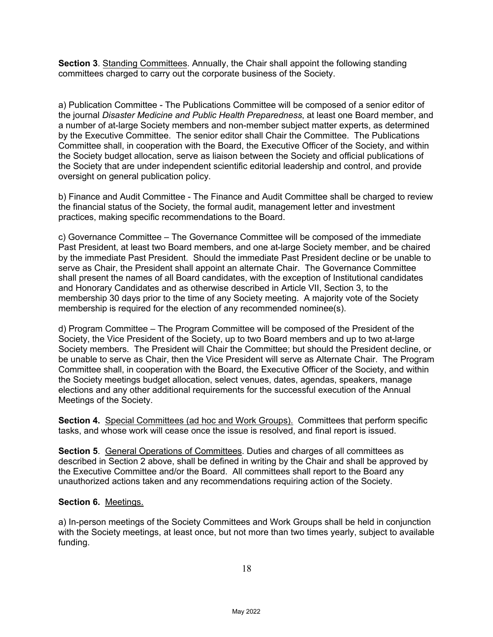**Section 3**. Standing Committees. Annually, the Chair shall appoint the following standing committees charged to carry out the corporate business of the Society.

a) Publication Committee - The Publications Committee will be composed of a senior editor of the journal *Disaster Medicine and Public Health Preparedness*, at least one Board member, and a number of at-large Society members and non-member subject matter experts, as determined by the Executive Committee. The senior editor shall Chair the Committee. The Publications Committee shall, in cooperation with the Board, the Executive Officer of the Society, and within the Society budget allocation, serve as liaison between the Society and official publications of the Society that are under independent scientific editorial leadership and control, and provide oversight on general publication policy.

b) Finance and Audit Committee - The Finance and Audit Committee shall be charged to review the financial status of the Society, the formal audit, management letter and investment practices, making specific recommendations to the Board.

c) Governance Committee – The Governance Committee will be composed of the immediate Past President, at least two Board members, and one at-large Society member, and be chaired by the immediate Past President. Should the immediate Past President decline or be unable to serve as Chair, the President shall appoint an alternate Chair. The Governance Committee shall present the names of all Board candidates, with the exception of Institutional candidates and Honorary Candidates and as otherwise described in Article VII, Section 3, to the membership 30 days prior to the time of any Society meeting. A majority vote of the Society membership is required for the election of any recommended nominee(s).

d) Program Committee – The Program Committee will be composed of the President of the Society, the Vice President of the Society, up to two Board members and up to two at-large Society members. The President will Chair the Committee; but should the President decline, or be unable to serve as Chair, then the Vice President will serve as Alternate Chair. The Program Committee shall, in cooperation with the Board, the Executive Officer of the Society, and within the Society meetings budget allocation, select venues, dates, agendas, speakers, manage elections and any other additional requirements for the successful execution of the Annual Meetings of the Society.

**Section 4.** Special Committees (ad hoc and Work Groups). Committees that perform specific tasks, and whose work will cease once the issue is resolved, and final report is issued.

**Section 5.** General Operations of Committees. Duties and charges of all committees as described in Section 2 above, shall be defined in writing by the Chair and shall be approved by the Executive Committee and/or the Board. All committees shall report to the Board any unauthorized actions taken and any recommendations requiring action of the Society.

# **Section 6.** Meetings.

a) In-person meetings of the Society Committees and Work Groups shall be held in conjunction with the Society meetings, at least once, but not more than two times yearly, subject to available funding.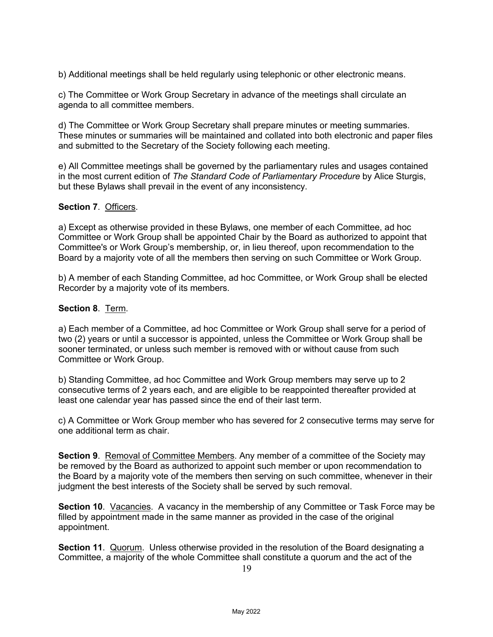b) Additional meetings shall be held regularly using telephonic or other electronic means.

c) The Committee or Work Group Secretary in advance of the meetings shall circulate an agenda to all committee members.

d) The Committee or Work Group Secretary shall prepare minutes or meeting summaries. These minutes or summaries will be maintained and collated into both electronic and paper files and submitted to the Secretary of the Society following each meeting.

e) All Committee meetings shall be governed by the parliamentary rules and usages contained in the most current edition of *The Standard Code of Parliamentary Procedure* by Alice Sturgis, but these Bylaws shall prevail in the event of any inconsistency.

#### **Section 7**. Officers.

a) Except as otherwise provided in these Bylaws, one member of each Committee, ad hoc Committee or Work Group shall be appointed Chair by the Board as authorized to appoint that Committee's or Work Group's membership, or, in lieu thereof, upon recommendation to the Board by a majority vote of all the members then serving on such Committee or Work Group.

b) A member of each Standing Committee, ad hoc Committee, or Work Group shall be elected Recorder by a majority vote of its members.

#### **Section 8**. Term.

a) Each member of a Committee, ad hoc Committee or Work Group shall serve for a period of two (2) years or until a successor is appointed, unless the Committee or Work Group shall be sooner terminated, or unless such member is removed with or without cause from such Committee or Work Group.

b) Standing Committee, ad hoc Committee and Work Group members may serve up to 2 consecutive terms of 2 years each, and are eligible to be reappointed thereafter provided at least one calendar year has passed since the end of their last term.

c) A Committee or Work Group member who has severed for 2 consecutive terms may serve for one additional term as chair.

**Section 9**. Removal of Committee Members. Any member of a committee of the Society may be removed by the Board as authorized to appoint such member or upon recommendation to the Board by a majority vote of the members then serving on such committee, whenever in their judgment the best interests of the Society shall be served by such removal.

**Section 10**. Vacancies. A vacancy in the membership of any Committee or Task Force may be filled by appointment made in the same manner as provided in the case of the original appointment.

**Section 11**. Quorum. Unless otherwise provided in the resolution of the Board designating a Committee, a majority of the whole Committee shall constitute a quorum and the act of the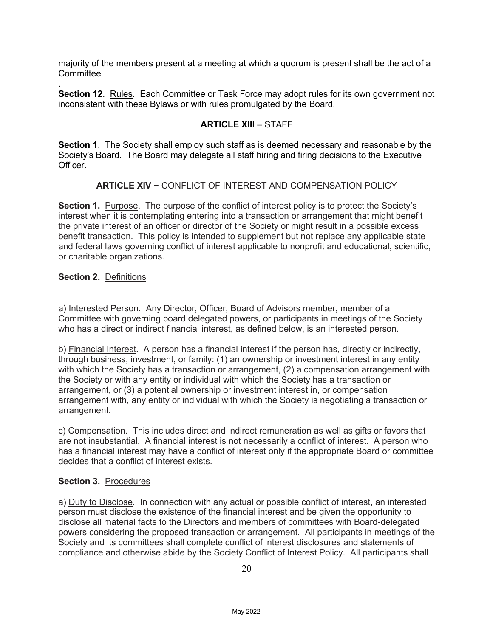majority of the members present at a meeting at which a quorum is present shall be the act of a **Committee** 

. **Section 12**. Rules. Each Committee or Task Force may adopt rules for its own government not inconsistent with these Bylaws or with rules promulgated by the Board.

# **ARTICLE XIII** – STAFF

**Section 1**. The Society shall employ such staff as is deemed necessary and reasonable by the Society's Board. The Board may delegate all staff hiring and firing decisions to the Executive Officer.

### **ARTICLE XIV** − CONFLICT OF INTEREST AND COMPENSATION POLICY

**Section 1.** Purpose. The purpose of the conflict of interest policy is to protect the Society's interest when it is contemplating entering into a transaction or arrangement that might benefit the private interest of an officer or director of the Society or might result in a possible excess benefit transaction. This policy is intended to supplement but not replace any applicable state and federal laws governing conflict of interest applicable to nonprofit and educational, scientific, or charitable organizations.

#### **Section 2.** Definitions

a) Interested Person. Any Director, Officer, Board of Advisors member, member of a Committee with governing board delegated powers, or participants in meetings of the Society who has a direct or indirect financial interest, as defined below, is an interested person.

b) Financial Interest. A person has a financial interest if the person has, directly or indirectly, through business, investment, or family: (1) an ownership or investment interest in any entity with which the Society has a transaction or arrangement, (2) a compensation arrangement with the Society or with any entity or individual with which the Society has a transaction or arrangement, or (3) a potential ownership or investment interest in, or compensation arrangement with, any entity or individual with which the Society is negotiating a transaction or arrangement.

c) Compensation. This includes direct and indirect remuneration as well as gifts or favors that are not insubstantial. A financial interest is not necessarily a conflict of interest. A person who has a financial interest may have a conflict of interest only if the appropriate Board or committee decides that a conflict of interest exists.

#### **Section 3.** Procedures

a) Duty to Disclose.In connection with any actual or possible conflict of interest, an interested person must disclose the existence of the financial interest and be given the opportunity to disclose all material facts to the Directors and members of committees with Board-delegated powers considering the proposed transaction or arrangement. All participants in meetings of the Society and its committees shall complete conflict of interest disclosures and statements of compliance and otherwise abide by the Society Conflict of Interest Policy. All participants shall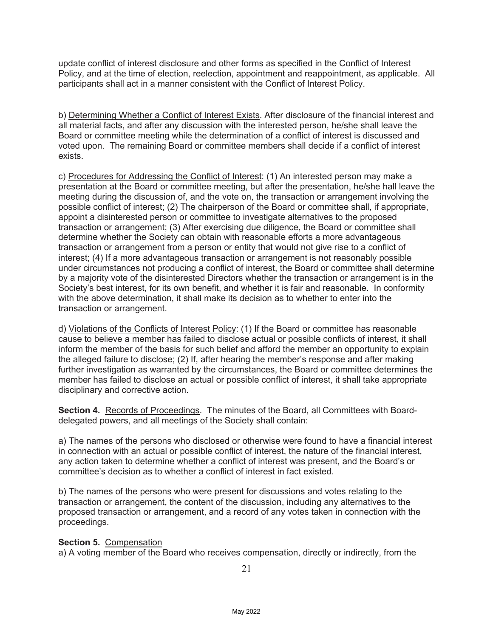update conflict of interest disclosure and other forms as specified in the Conflict of Interest Policy, and at the time of election, reelection, appointment and reappointment, as applicable. All participants shall act in a manner consistent with the Conflict of Interest Policy.

b) Determining Whether a Conflict of Interest Exists. After disclosure of the financial interest and all material facts, and after any discussion with the interested person, he/she shall leave the Board or committee meeting while the determination of a conflict of interest is discussed and voted upon. The remaining Board or committee members shall decide if a conflict of interest exists.

c) Procedures for Addressing the Conflict of Interest: (1) An interested person may make a presentation at the Board or committee meeting, but after the presentation, he/she hall leave the meeting during the discussion of, and the vote on, the transaction or arrangement involving the possible conflict of interest; (2) The chairperson of the Board or committee shall, if appropriate, appoint a disinterested person or committee to investigate alternatives to the proposed transaction or arrangement; (3) After exercising due diligence, the Board or committee shall determine whether the Society can obtain with reasonable efforts a more advantageous transaction or arrangement from a person or entity that would not give rise to a conflict of interest; (4) If a more advantageous transaction or arrangement is not reasonably possible under circumstances not producing a conflict of interest, the Board or committee shall determine by a majority vote of the disinterested Directors whether the transaction or arrangement is in the Society's best interest, for its own benefit, and whether it is fair and reasonable. In conformity with the above determination, it shall make its decision as to whether to enter into the transaction or arrangement.

d) Violations of the Conflicts of Interest Policy: (1) If the Board or committee has reasonable cause to believe a member has failed to disclose actual or possible conflicts of interest, it shall inform the member of the basis for such belief and afford the member an opportunity to explain the alleged failure to disclose; (2) If, after hearing the member's response and after making further investigation as warranted by the circumstances, the Board or committee determines the member has failed to disclose an actual or possible conflict of interest, it shall take appropriate disciplinary and corrective action.

**Section 4.** Records of Proceedings. The minutes of the Board, all Committees with Boarddelegated powers, and all meetings of the Society shall contain:

a) The names of the persons who disclosed or otherwise were found to have a financial interest in connection with an actual or possible conflict of interest, the nature of the financial interest, any action taken to determine whether a conflict of interest was present, and the Board's or committee's decision as to whether a conflict of interest in fact existed.

b) The names of the persons who were present for discussions and votes relating to the transaction or arrangement, the content of the discussion, including any alternatives to the proposed transaction or arrangement, and a record of any votes taken in connection with the proceedings.

# **Section 5.** Compensation

a) A voting member of the Board who receives compensation, directly or indirectly, from the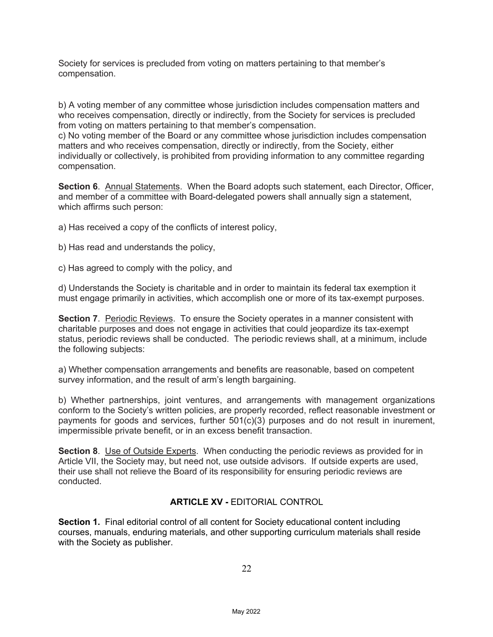Society for services is precluded from voting on matters pertaining to that member's compensation.

b) A voting member of any committee whose jurisdiction includes compensation matters and who receives compensation, directly or indirectly, from the Society for services is precluded from voting on matters pertaining to that member's compensation.

c) No voting member of the Board or any committee whose jurisdiction includes compensation matters and who receives compensation, directly or indirectly, from the Society, either individually or collectively, is prohibited from providing information to any committee regarding compensation.

**Section 6**. Annual Statements. When the Board adopts such statement, each Director, Officer, and member of a committee with Board-delegated powers shall annually sign a statement, which affirms such person:

a) Has received a copy of the conflicts of interest policy,

b) Has read and understands the policy,

c) Has agreed to comply with the policy, and

d) Understands the Society is charitable and in order to maintain its federal tax exemption it must engage primarily in activities, which accomplish one or more of its tax-exempt purposes.

**Section 7**. Periodic Reviews. To ensure the Society operates in a manner consistent with charitable purposes and does not engage in activities that could jeopardize its tax-exempt status, periodic reviews shall be conducted. The periodic reviews shall, at a minimum, include the following subjects:

a) Whether compensation arrangements and benefits are reasonable, based on competent survey information, and the result of arm's length bargaining.

b) Whether partnerships, joint ventures, and arrangements with management organizations conform to the Society's written policies, are properly recorded, reflect reasonable investment or payments for goods and services, further 501(c)(3) purposes and do not result in inurement, impermissible private benefit, or in an excess benefit transaction.

**Section 8.** Use of Outside Experts. When conducting the periodic reviews as provided for in Article VII, the Society may, but need not, use outside advisors. If outside experts are used, their use shall not relieve the Board of its responsibility for ensuring periodic reviews are conducted.

# **ARTICLE XV -** EDITORIAL CONTROL

**Section 1.** Final editorial control of all content for Society educational content including courses, manuals, enduring materials, and other supporting curriculum materials shall reside with the Society as publisher.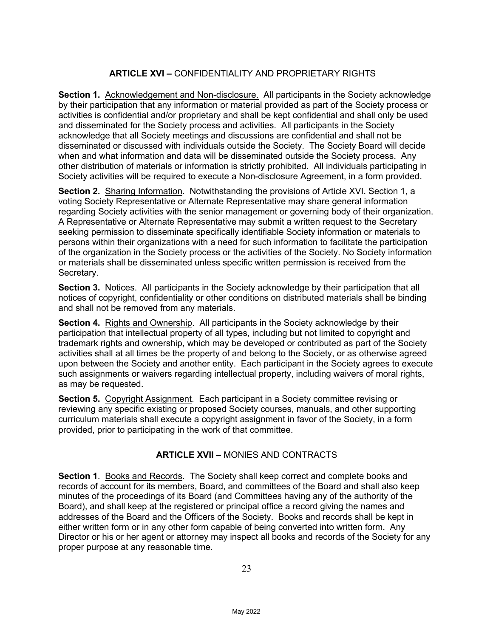# **ARTICLE XVI –** CONFIDENTIALITY AND PROPRIETARY RIGHTS

**Section 1.** Acknowledgement and Non-disclosure. All participants in the Society acknowledge by their participation that any information or material provided as part of the Society process or activities is confidential and/or proprietary and shall be kept confidential and shall only be used and disseminated for the Society process and activities. All participants in the Society acknowledge that all Society meetings and discussions are confidential and shall not be disseminated or discussed with individuals outside the Society. The Society Board will decide when and what information and data will be disseminated outside the Society process. Any other distribution of materials or information is strictly prohibited. All individuals participating in Society activities will be required to execute a Non-disclosure Agreement, in a form provided.

**Section 2.** Sharing Information. Notwithstanding the provisions of Article XVI. Section 1, a voting Society Representative or Alternate Representative may share general information regarding Society activities with the senior management or governing body of their organization. A Representative or Alternate Representative may submit a written request to the Secretary seeking permission to disseminate specifically identifiable Society information or materials to persons within their organizations with a need for such information to facilitate the participation of the organization in the Society process or the activities of the Society. No Society information or materials shall be disseminated unless specific written permission is received from the Secretary.

**Section 3.** Notices. All participants in the Society acknowledge by their participation that all notices of copyright, confidentiality or other conditions on distributed materials shall be binding and shall not be removed from any materials.

**Section 4.** Rights and Ownership. All participants in the Society acknowledge by their participation that intellectual property of all types, including but not limited to copyright and trademark rights and ownership, which may be developed or contributed as part of the Society activities shall at all times be the property of and belong to the Society, or as otherwise agreed upon between the Society and another entity. Each participant in the Society agrees to execute such assignments or waivers regarding intellectual property, including waivers of moral rights, as may be requested.

**Section 5.** Copyright Assignment. Each participant in a Society committee revising or reviewing any specific existing or proposed Society courses, manuals, and other supporting curriculum materials shall execute a copyright assignment in favor of the Society, in a form provided, prior to participating in the work of that committee.

# **ARTICLE XVII** – MONIES AND CONTRACTS

**Section 1**. Books and Records. The Society shall keep correct and complete books and records of account for its members, Board, and committees of the Board and shall also keep minutes of the proceedings of its Board (and Committees having any of the authority of the Board), and shall keep at the registered or principal office a record giving the names and addresses of the Board and the Officers of the Society. Books and records shall be kept in either written form or in any other form capable of being converted into written form. Any Director or his or her agent or attorney may inspect all books and records of the Society for any proper purpose at any reasonable time.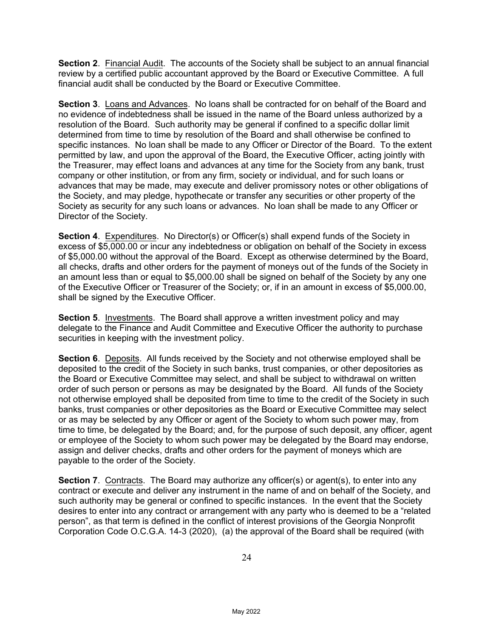**Section 2**. Financial Audit. The accounts of the Society shall be subject to an annual financial review by a certified public accountant approved by the Board or Executive Committee. A full financial audit shall be conducted by the Board or Executive Committee.

**Section 3**. Loans and Advances. No loans shall be contracted for on behalf of the Board and no evidence of indebtedness shall be issued in the name of the Board unless authorized by a resolution of the Board. Such authority may be general if confined to a specific dollar limit determined from time to time by resolution of the Board and shall otherwise be confined to specific instances. No loan shall be made to any Officer or Director of the Board. To the extent permitted by law, and upon the approval of the Board, the Executive Officer, acting jointly with the Treasurer, may effect loans and advances at any time for the Society from any bank, trust company or other institution, or from any firm, society or individual, and for such loans or advances that may be made, may execute and deliver promissory notes or other obligations of the Society, and may pledge, hypothecate or transfer any securities or other property of the Society as security for any such loans or advances. No loan shall be made to any Officer or Director of the Society.

**Section 4.** Expenditures. No Director(s) or Officer(s) shall expend funds of the Society in excess of \$5,000.00 or incur any indebtedness or obligation on behalf of the Society in excess of \$5,000.00 without the approval of the Board. Except as otherwise determined by the Board, all checks, drafts and other orders for the payment of moneys out of the funds of the Society in an amount less than or equal to \$5,000.00 shall be signed on behalf of the Society by any one of the Executive Officer or Treasurer of the Society; or, if in an amount in excess of \$5,000.00, shall be signed by the Executive Officer.

**Section 5**. Investments. The Board shall approve a written investment policy and may delegate to the Finance and Audit Committee and Executive Officer the authority to purchase securities in keeping with the investment policy.

**Section 6**. Deposits. All funds received by the Society and not otherwise employed shall be deposited to the credit of the Society in such banks, trust companies, or other depositories as the Board or Executive Committee may select, and shall be subject to withdrawal on written order of such person or persons as may be designated by the Board. All funds of the Society not otherwise employed shall be deposited from time to time to the credit of the Society in such banks, trust companies or other depositories as the Board or Executive Committee may select or as may be selected by any Officer or agent of the Society to whom such power may, from time to time, be delegated by the Board; and, for the purpose of such deposit, any officer, agent or employee of the Society to whom such power may be delegated by the Board may endorse, assign and deliver checks, drafts and other orders for the payment of moneys which are payable to the order of the Society.

**Section 7**. Contracts. The Board may authorize any officer(s) or agent(s), to enter into any contract or execute and deliver any instrument in the name of and on behalf of the Society, and such authority may be general or confined to specific instances. In the event that the Society desires to enter into any contract or arrangement with any party who is deemed to be a "related person", as that term is defined in the conflict of interest provisions of the Georgia Nonprofit Corporation Code O.C.G.A. 14-3 (2020), (a) the approval of the Board shall be required (with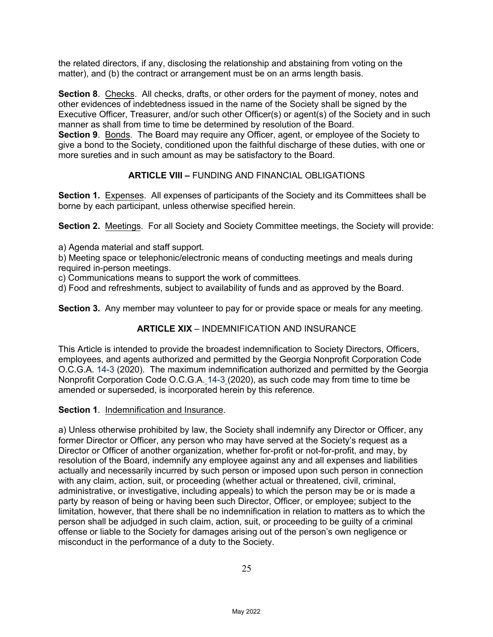the related directors, if any, disclosing the relationship and abstaining from voting on the matter), and (b) the contract or arrangement must be on an arms length basis.

**Section 8**. Checks. All checks, drafts, or other orders for the payment of money, notes and other evidences of indebtedness issued in the name of the Society shall be signed by the Executive Officer, Treasurer, and/or such other Officer(s) or agent(s) of the Society and in such manner as shall from time to time be determined by resolution of the Board. **Section 9**. Bonds. The Board may require any Officer, agent, or employee of the Society to give a bond to the Society, conditioned upon the faithful discharge of these duties, with one or more sureties and in such amount as may be satisfactory to the Board.

# **ARTICLE VIII –** FUNDING AND FINANCIAL OBLIGATIONS

**Section 1.** Expenses. All expenses of participants of the Society and its Committees shall be borne by each participant, unless otherwise specified herein.

**Section 2.** Meetings. For all Society and Society Committee meetings, the Society will provide:

a) Agenda material and staff support.

b) Meeting space or telephonic/electronic means of conducting meetings and meals during required in-person meetings.

c) Communications means to support the work of committees.

d) Food and refreshments, subject to availability of funds and as approved by the Board.

**Section 3.** Any member may volunteer to pay for or provide space or meals for any meeting.

# **ARTICLE XIX** – INDEMNIFICATION AND INSURANCE

This Article is intended to provide the broadest indemnification to Society Directors, Officers, employees, and agents authorized and permitted by the Georgia Nonprofit Corporation Code O.C.G.A. 14-3 (2020). The maximum indemnification authorized and permitted by the Georgia Nonprofit Corporation Code O.C.G.A. 14-3 (2020), as such code may from time to time be amended or superseded, is incorporated herein by this reference.

**Section 1**. Indemnification and Insurance.

a) Unless otherwise prohibited by law, the Society shall indemnify any Director or Officer, any former Director or Officer, any person who may have served at the Society's request as a Director or Officer of another organization, whether for-profit or not-for-profit, and may, by resolution of the Board, indemnify any employee against any and all expenses and liabilities actually and necessarily incurred by such person or imposed upon such person in connection with any claim, action, suit, or proceeding (whether actual or threatened, civil, criminal, administrative, or investigative, including appeals) to which the person may be or is made a party by reason of being or having been such Director, Officer, or employee; subject to the limitation, however, that there shall be no indemnification in relation to matters as to which the person shall be adjudged in such claim, action, suit, or proceeding to be guilty of a criminal offense or liable to the Society for damages arising out of the person's own negligence or misconduct in the performance of a duty to the Society.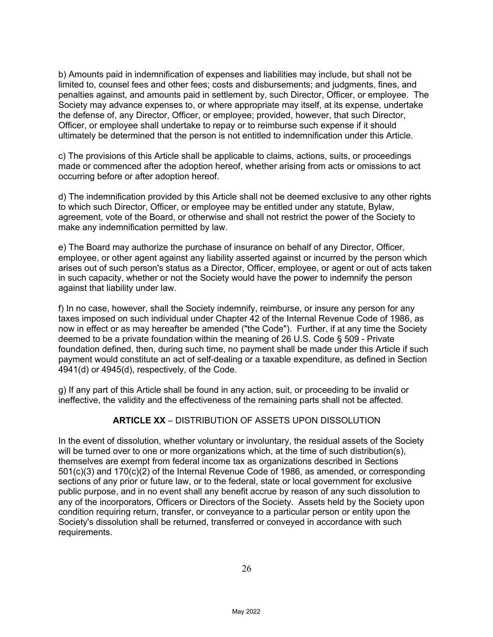b) Amounts paid in indemnification of expenses and liabilities may include, but shall not be limited to, counsel fees and other fees; costs and disbursements; and judgments, fines, and penalties against, and amounts paid in settlement by, such Director, Officer, or employee. The Society may advance expenses to, or where appropriate may itself, at its expense, undertake the defense of, any Director, Officer, or employee; provided, however, that such Director, Officer, or employee shall undertake to repay or to reimburse such expense if it should ultimately be determined that the person is not entitled to indemnification under this Article.

c) The provisions of this Article shall be applicable to claims, actions, suits, or proceedings made or commenced after the adoption hereof, whether arising from acts or omissions to act occurring before or after adoption hereof.

d) The indemnification provided by this Article shall not be deemed exclusive to any other rights to which such Director, Officer, or employee may be entitled under any statute, Bylaw, agreement, vote of the Board, or otherwise and shall not restrict the power of the Society to make any indemnification permitted by law.

e) The Board may authorize the purchase of insurance on behalf of any Director, Officer, employee, or other agent against any liability asserted against or incurred by the person which arises out of such person's status as a Director, Officer, employee, or agent or out of acts taken in such capacity, whether or not the Society would have the power to indemnify the person against that liability under law.

f) In no case, however, shall the Society indemnify, reimburse, or insure any person for any taxes imposed on such individual under Chapter 42 of the Internal Revenue Code of 1986, as now in effect or as may hereafter be amended ("the Code"). Further, if at any time the Society deemed to be a private foundation within the meaning of 26 U.S. Code § 509 - Private foundation defined, then, during such time, no payment shall be made under this Article if such payment would constitute an act of self-dealing or a taxable expenditure, as defined in Section 4941(d) or 4945(d), respectively, of the Code.

g) If any part of this Article shall be found in any action, suit, or proceeding to be invalid or ineffective, the validity and the effectiveness of the remaining parts shall not be affected.

# **ARTICLE XX** – DISTRIBUTION OF ASSETS UPON DISSOLUTION

In the event of dissolution, whether voluntary or involuntary, the residual assets of the Society will be turned over to one or more organizations which, at the time of such distribution(s), themselves are exempt from federal income tax as organizations described in Sections 501(c)(3) and 170(c)(2) of the Internal Revenue Code of 1986, as amended, or corresponding sections of any prior or future law, or to the federal, state or local government for exclusive public purpose, and in no event shall any benefit accrue by reason of any such dissolution to any of the incorporators, Officers or Directors of the Society. Assets held by the Society upon condition requiring return, transfer, or conveyance to a particular person or entity upon the Society's dissolution shall be returned, transferred or conveyed in accordance with such requirements.